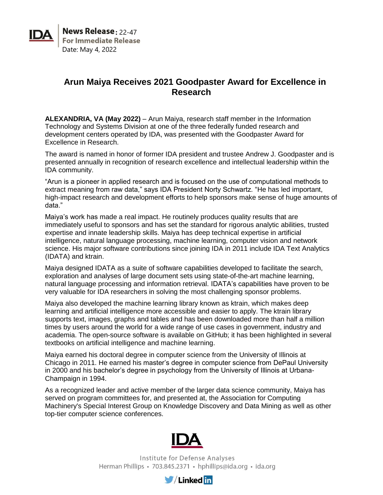**News Release: 22-47 For Immediate Release** Date: May 4, 2022

## **Arun Maiya Receives 2021 Goodpaster Award for Excellence in Research**

**ALEXANDRIA, VA (May 2022)** – Arun Maiya, research staff member in the Information Technology and Systems Division at one of the three federally funded research and development centers operated by IDA, was presented with the Goodpaster Award for Excellence in Research.

The award is named in honor of former IDA president and trustee Andrew J. Goodpaster and is presented annually in recognition of research excellence and intellectual leadership within the IDA community.

"Arun is a pioneer in applied research and is focused on the use of computational methods to extract meaning from raw data," says IDA President Norty Schwartz. "He has led important, high-impact research and development efforts to help sponsors make sense of huge amounts of data."

Maiya's work has made a real impact. He routinely produces quality results that are immediately useful to sponsors and has set the standard for rigorous analytic abilities, trusted expertise and innate leadership skills. Maiya has deep technical expertise in artificial intelligence, natural language processing, machine learning, computer vision and network science. His major software contributions since joining IDA in 2011 include IDA Text Analytics (IDATA) and ktrain.

Maiya designed IDATA as a suite of software capabilities developed to facilitate the search, exploration and analyses of large document sets using state-of-the-art machine learning, natural language processing and information retrieval. IDATA's capabilities have proven to be very valuable for IDA researchers in solving the most challenging sponsor problems.

Maiya also developed the machine learning library known as ktrain, which makes deep learning and artificial intelligence more accessible and easier to apply. The ktrain library supports text, images, graphs and tables and has been downloaded more than half a million times by users around the world for a wide range of use cases in government, industry and academia. The open-source software is available on GitHub; it has been highlighted in several textbooks on artificial intelligence and machine learning.

Maiya earned his doctoral degree in computer science from the University of Illinois at Chicago in 2011. He earned his master's degree in computer science from DePaul University in 2000 and his bachelor's degree in psychology from the University of Illinois at Urbana-Champaign in 1994.

As a recognized leader and active member of the larger data science community, Maiya has served on program committees for, and presented at, the Association for Computing Machinery's Special Interest Group on Knowledge Discovery and Data Mining as well as other top-tier computer science conferences.



Institute for Defense Analyses Herman Phillips · 703.845.2371 · hphillips@ida.org · ida.org